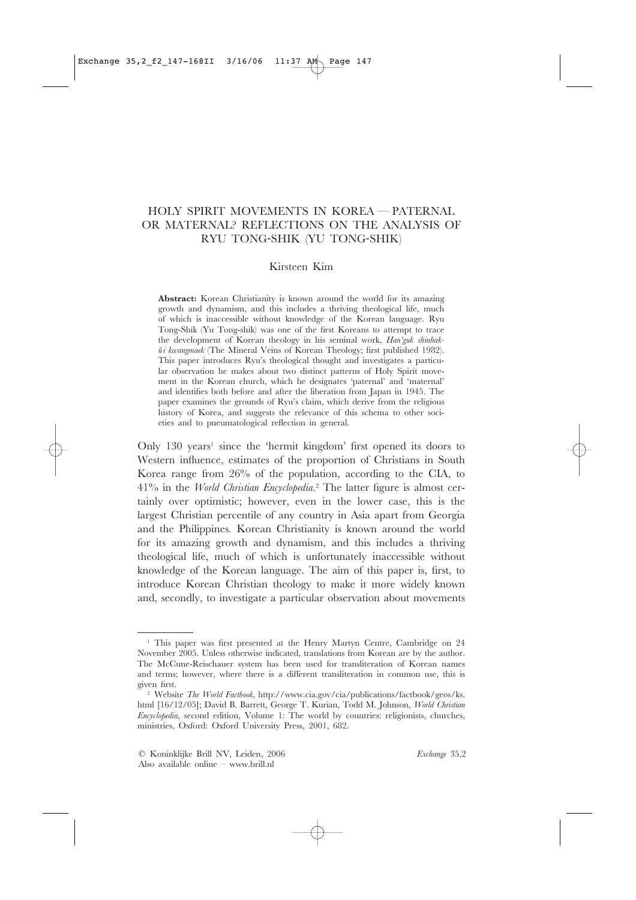## **HOLY SPIRIT MOVEMENTS IN KOREA - PATERNAL** OR MATERNAL? REFLECTIONS ON THE ANALYSIS OF RYU TONG-SHIK (YU TONG-SHIK)

#### Kirsteen Kim

**Abstract:** Korean Christianity is known around the world for its amazing growth and dynamism, and this includes a thriving theological life, much of which is inaccessible without knowledge of the Korean language. Ryu Tong-Shik (Yu Tong-shik) was one of the first Koreans to attempt to trace the development of Korean theology in his seminal work, Han'guk shinhakui kwangmaek (The Mineral Veins of Korean Theology; first published 1982). This paper introduces Ryu's theological thought and investigates a particular observation he makes about two distinct patterns of Holy Spirit movement in the Korean church, which he designates 'paternal' and 'maternal' and identifies both before and after the liberation from Japan in 1945. The paper examines the grounds of Ryu's claim, which derive from the religious history of Korea, and suggests the relevance of this schema to other societies and to pneumatological reflection in general.

Only 130 years<sup>1</sup> since the 'hermit kingdom' first opened its doors to Western influence, estimates of the proportion of Christians in South Korea range from 26% of the population, according to the CIA, to 41% in the *World Christian Encyclopedia*.<sup>2</sup> The latter figure is almost certainly over optimistic; however, even in the lower case, this is the largest Christian percentile of any country in Asia apart from Georgia and the Philippines. Korean Christianity is known around the world for its amazing growth and dynamism, and this includes a thriving theological life, much of which is unfortunately inaccessible without knowledge of the Korean language. The aim of this paper is, first, to introduce Korean Christian theology to make it more widely known and, secondly, to investigate a particular observation about movements

<sup>&</sup>lt;sup>1</sup> This paper was first presented at the Henry Martyn Centre, Cambridge on 24 November 2005. Unless otherwise indicated, translations from Korean are by the author. The McCune-Reischauer system has been used for transliteration of Korean names and terms; however, where there is a different transliteration in common use, this is given first.

<sup>&</sup>lt;sup>2</sup> Website *The World Factbook*, http://www.cia.gov/cia/publications/factbook/geos/ks. html [16/12/05]; David B. Barrett, George T. Kurian, Todd M. Johnson, World Christian *Encyclopedia*, second edition, Volume 1: The world by countries: religionists, churches, ministries, Oxford: Oxford University Press, 2001, 682.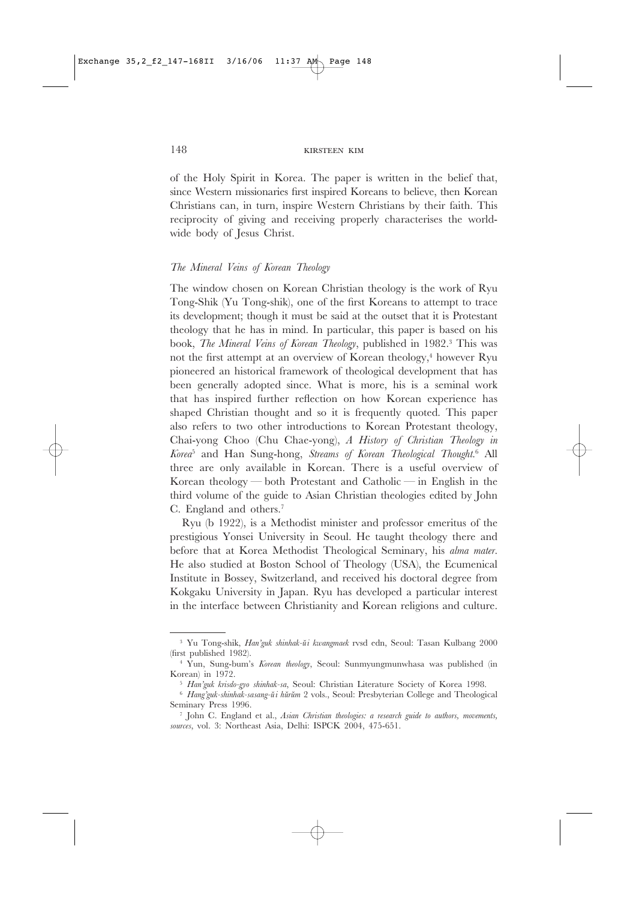of the Holy Spirit in Korea. The paper is written in the belief that, since Western missionaries first inspired Koreans to believe, then Korean Christians can, in turn, inspire Western Christians by their faith. This reciprocity of giving and receiving properly characterises the worldwide body of Jesus Christ.

### The Mineral Veins of Korean Theology

The window chosen on Korean Christian theology is the work of Ryu Tong-Shik (Yu Tong-shik), one of the first Koreans to attempt to trace its development; though it must be said at the outset that it is Protestant theology that he has in mind. In particular, this paper is based on his book, *The Mineral Veins of Korean Theology*, published in 1982.<sup>3</sup> This was not the first attempt at an overview of Korean theology,<sup>4</sup> however Ryu pioneered an historical framework of theological development that has been generally adopted since. What is more, his is a seminal work that has inspired further reflection on how Korean experience has shaped Christian thought and so it is frequently quoted. This paper also refers to two other introductions to Korean Protestant theology, Chai-vong Choo (Chu Chae-vong), A History of Christian Theology in Korea<sup>5</sup> and Han Sung-hong, Streams of Korean Theological Thought.<sup>6</sup> All three are only available in Korean. There is a useful overview of Korean theology - both Protestant and Catholic - in English in the third volume of the guide to Asian Christian theologies edited by John C. England and others.<sup>7</sup>

Ryu (b 1922), is a Methodist minister and professor emeritus of the prestigious Yonsei University in Seoul. He taught theology there and before that at Korea Methodist Theological Seminary, his alma mater. He also studied at Boston School of Theology (USA), the Ecumenical Institute in Bossey, Switzerland, and received his doctoral degree from Kokgaku University in Japan. Ryu has developed a particular interest in the interface between Christianity and Korean religions and culture.

<sup>&</sup>lt;sup>3</sup> Yu Tong-shik, *Han'guk shinhak-ŭi kwangmaek* rvsd edn, Seoul: Tasan Kulbang 2000 (first published 1982).

<sup>&</sup>lt;sup>4</sup> Yun, Sung-bum's Korean theology, Seoul: Sunmyungmunwhasa was published (in Korean) in 1972.

<sup>&</sup>lt;sup>5</sup> Han'guk krisdo-gyo shinhak-sa, Seoul: Christian Literature Society of Korea 1998.

<sup>&</sup>lt;sup>6</sup> Hang'guk-shinhak-sasang-ŭi hŭrŭm 2 vols., Seoul: Presbyterian College and Theological Seminary Press 1996.

<sup>&</sup>lt;sup>7</sup> John C. England et al., Asian Christian theologies: a research guide to authors, movements, sources, vol. 3: Northeast Asia, Delhi: ISPCK 2004, 475-651.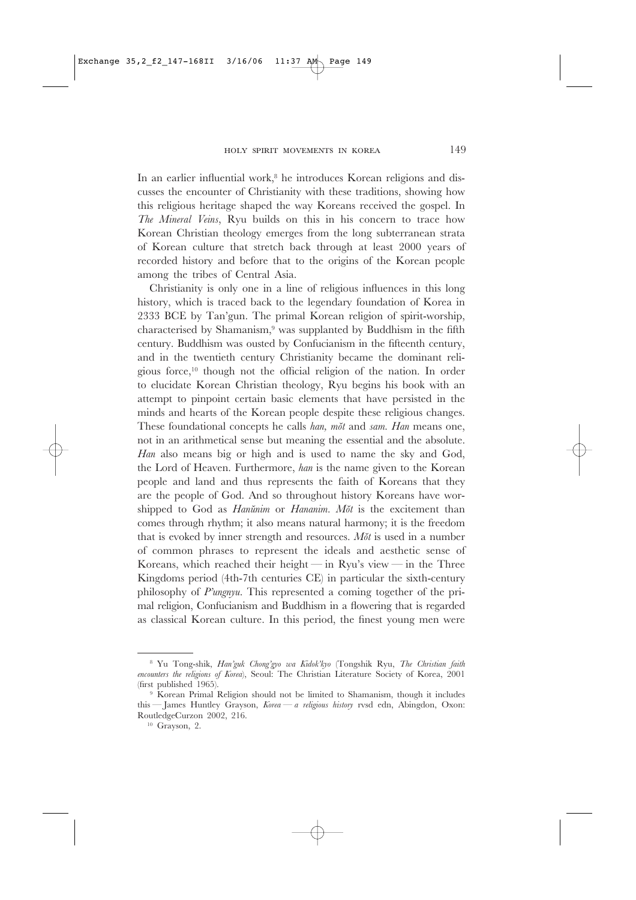In an earlier influential work,<sup>8</sup> he introduces Korean religions and discusses the encounter of Christianity with these traditions, showing how this religious heritage shaped the way Koreans received the gospel. In The Mineral Veins, Ryu builds on this in his concern to trace how

Korean Christian theology emerges from the long subterranean strata of Korean culture that stretch back through at least 2000 years of recorded history and before that to the origins of the Korean people among the tribes of Central Asia.

Christianity is only one in a line of religious influences in this long history, which is traced back to the legendary foundation of Korea in 2333 BCE by Tan'gun. The primal Korean religion of spirit-worship, characterised by Shamanism,<sup>9</sup> was supplanted by Buddhism in the fifth century. Buddhism was ousted by Confucianism in the fifteenth century, and in the twentieth century Christianity became the dominant religious force,<sup>10</sup> though not the official religion of the nation. In order to elucidate Korean Christian theology, Ryu begins his book with an attempt to pinpoint certain basic elements that have persisted in the minds and hearts of the Korean people despite these religious changes. These foundational concepts he calls han, mot and sam. Han means one, not in an arithmetical sense but meaning the essential and the absolute. Han also means big or high and is used to name the sky and God, the Lord of Heaven. Furthermore, han is the name given to the Korean people and land and thus represents the faith of Koreans that they are the people of God. And so throughout history Koreans have worshipped to God as *Hanunim* or *Hananim*. Mot is the excitement than comes through rhythm; it also means natural harmony; it is the freedom that is evoked by inner strength and resources.  $M\delta t$  is used in a number of common phrases to represent the ideals and aesthetic sense of Koreans, which reached their height — in Ryu's view — in the Three Kingdoms period (4th-7th centuries CE) in particular the sixth-century philosophy of *P'ungnyu*. This represented a coming together of the primal religion. Confucianism and Buddhism in a flowering that is regarded as classical Korean culture. In this period, the finest young men were

<sup>&</sup>lt;sup>8</sup> Yu Tong-shik, Han'guk Chong'gyo wa Kidok'kyo (Tongshik Ryu, The Christian faith encounters the religions of Korea), Seoul: The Christian Literature Society of Korea, 2001 (first published 1965).

<sup>&</sup>lt;sup>9</sup> Korean Primal Religion should not be limited to Shamanism, though it includes this - James Huntley Grayson, Korea - a religious history rvsd edn, Abingdon, Oxon: RoutledgeCurzon 2002, 216.

 $10$  Grayson, 2.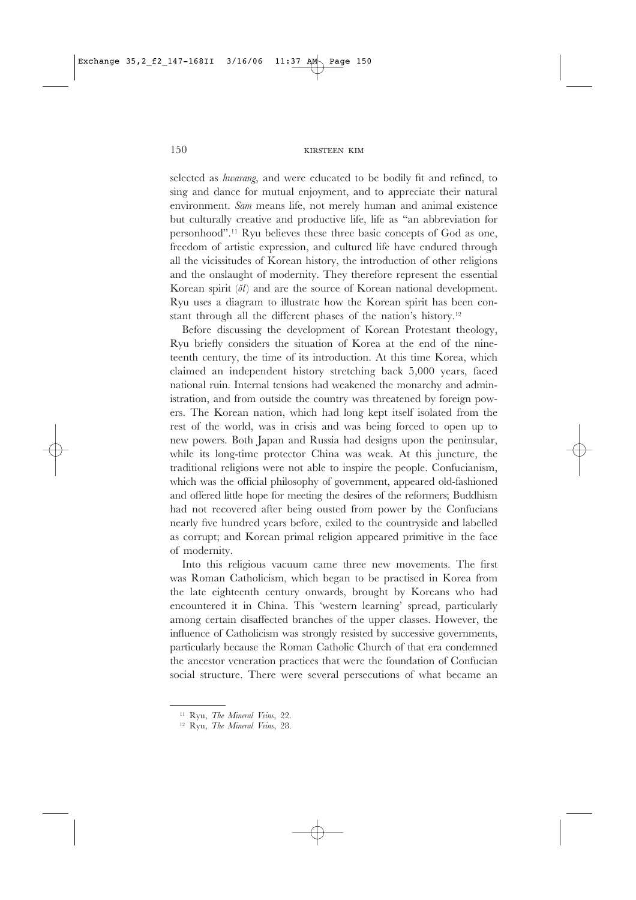selected as hwarang, and were educated to be bodily fit and refined, to sing and dance for mutual enjoyment, and to appreciate their natural environment. Sam means life, not merely human and animal existence but culturally creative and productive life, life as "an abbreviation for personhood".<sup>11</sup> Ryu believes these three basic concepts of God as one, freedom of artistic expression, and cultured life have endured through all the vicissitudes of Korean history, the introduction of other religions and the onslaught of modernity. They therefore represent the essential Korean spirit  $(\check{ol})$  and are the source of Korean national development. Ryu uses a diagram to illustrate how the Korean spirit has been constant through all the different phases of the nation's history.<sup>12</sup>

Before discussing the development of Korean Protestant theology, Ryu briefly considers the situation of Korea at the end of the nineteenth century, the time of its introduction. At this time Korea, which claimed an independent history stretching back 5,000 years, faced national ruin. Internal tensions had weakened the monarchy and administration, and from outside the country was threatened by foreign powers. The Korean nation, which had long kept itself isolated from the rest of the world, was in crisis and was being forced to open up to new powers. Both Japan and Russia had designs upon the peninsular, while its long-time protector China was weak. At this juncture, the traditional religions were not able to inspire the people. Confucianism, which was the official philosophy of government, appeared old-fashioned and offered little hope for meeting the desires of the reformers; Buddhism had not recovered after being ousted from power by the Confucians nearly five hundred years before, exiled to the countryside and labelled as corrupt; and Korean primal religion appeared primitive in the face of modernity.

Into this religious vacuum came three new movements. The first was Roman Catholicism, which began to be practised in Korea from the late eighteenth century onwards, brought by Koreans who had encountered it in China. This 'western learning' spread, particularly among certain disaffected branches of the upper classes. However, the influence of Catholicism was strongly resisted by successive governments, particularly because the Roman Catholic Church of that era condemned the ancestor veneration practices that were the foundation of Confucian social structure. There were several persecutions of what became an

<sup>&</sup>lt;sup>11</sup> Ryu, *The Mineral Veins*, 22.

<sup>&</sup>lt;sup>12</sup> Ryu, *The Mineral Veins*, 28.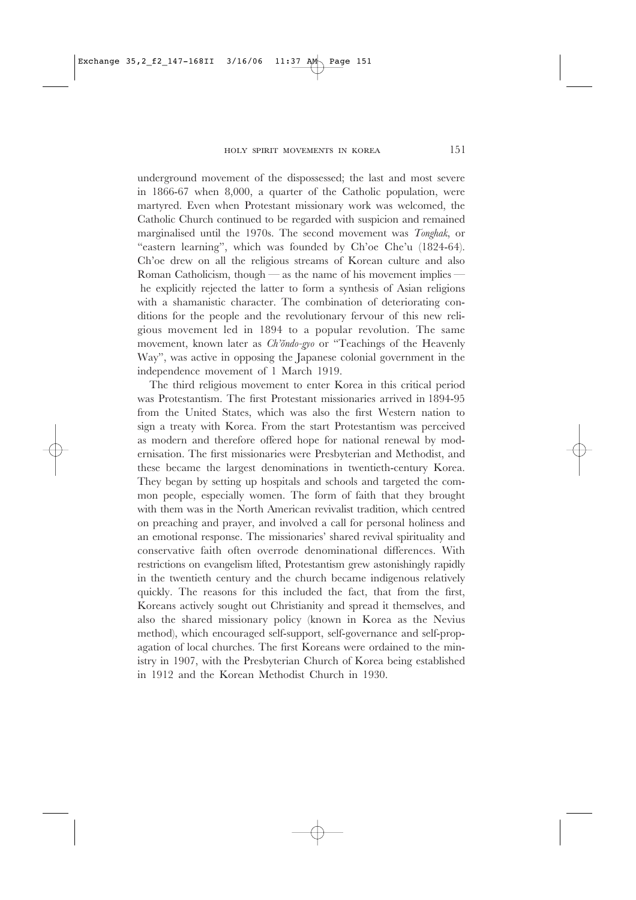underground movement of the dispossessed; the last and most severe in 1866-67 when 8,000, a quarter of the Catholic population, were martyred. Even when Protestant missionary work was welcomed, the Catholic Church continued to be regarded with suspicion and remained marginalised until the 1970s. The second movement was Tonghak, or "eastern learning", which was founded by Ch'oe Che'u (1824-64). Ch'oe drew on all the religious streams of Korean culture and also Roman Catholicism, though — as the name of his movement implies he explicitly rejected the latter to form a synthesis of Asian religions with a shamanistic character. The combination of deteriorating conditions for the people and the revolutionary fervour of this new religious movement led in 1894 to a popular revolution. The same movement, known later as *Ch'ondo-gyo* or "Teachings of the Heavenly Way", was active in opposing the Japanese colonial government in the independence movement of 1 March 1919.

The third religious movement to enter Korea in this critical period was Protestantism. The first Protestant missionaries arrived in 1894-95 from the United States, which was also the first Western nation to sign a treaty with Korea. From the start Protestantism was perceived as modern and therefore offered hope for national renewal by modernisation. The first missionaries were Presbyterian and Methodist, and these became the largest denominations in twentieth-century Korea. They began by setting up hospitals and schools and targeted the common people, especially women. The form of faith that they brought with them was in the North American revivalist tradition, which centred on preaching and prayer, and involved a call for personal holiness and an emotional response. The missionaries' shared revival spirituality and conservative faith often overrode denominational differences. With restrictions on evangelism lifted, Protestantism grew astonishingly rapidly in the twentieth century and the church became indigenous relatively quickly. The reasons for this included the fact, that from the first, Koreans actively sought out Christianity and spread it themselves, and also the shared missionary policy (known in Korea as the Nevius method), which encouraged self-support, self-governance and self-propagation of local churches. The first Koreans were ordained to the ministry in 1907, with the Presbyterian Church of Korea being established in 1912 and the Korean Methodist Church in 1930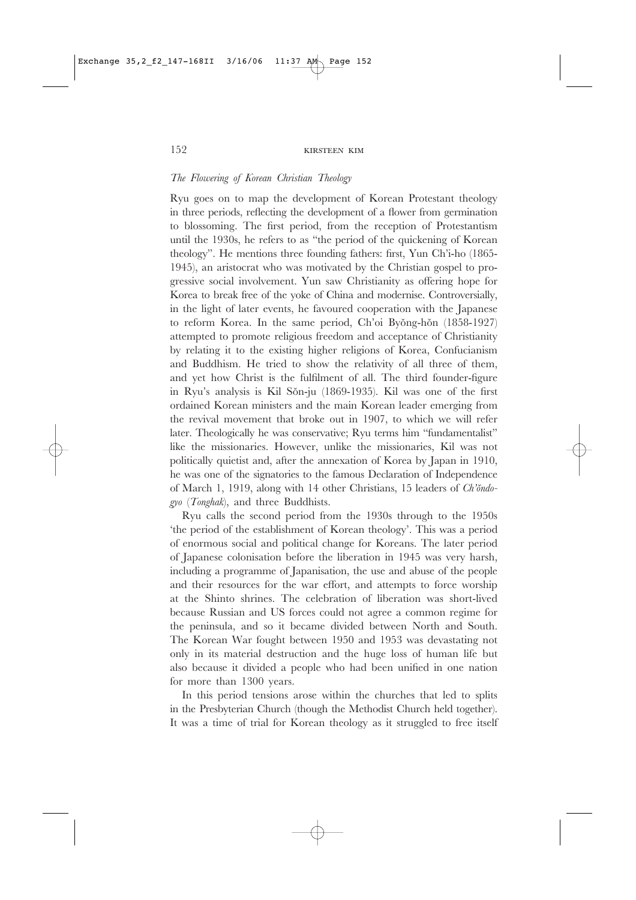### The Flowering of Korean Christian Theology

Ryu goes on to map the development of Korean Protestant theology in three periods, reflecting the development of a flower from germination to blossoming. The first period, from the reception of Protestantism until the 1930s, he refers to as "the period of the quickening of Korean theology". He mentions three founding fathers: first, Yun Ch'i-ho (1865-1945), an aristocrat who was motivated by the Christian gospel to progressive social involvement. Yun saw Christianity as offering hope for Korea to break free of the voke of China and modernise. Controversially, in the light of later events, he favoured cooperation with the Japanese to reform Korea. In the same period, Ch'oi Byŏng-hŏn (1858-1927) attempted to promote religious freedom and acceptance of Christianity by relating it to the existing higher religions of Korea, Confucianism and Buddhism. He tried to show the relativity of all three of them, and yet how Christ is the fulfilment of all. The third founder-figure in Ryu's analysis is Kil Sŏn-ju (1869-1935). Kil was one of the first ordained Korean ministers and the main Korean leader emerging from the revival movement that broke out in 1907, to which we will refer later. Theologically he was conservative; Ryu terms him "fundamentalist" like the missionaries. However, unlike the missionaries. Kil was not politically quietist and, after the annexation of Korea by Japan in 1910, he was one of the signatories to the famous Declaration of Independence of March 1, 1919, along with 14 other Christians, 15 leaders of Ch'ondogyo (Tonghak), and three Buddhists.

Ryu calls the second period from the 1930s through to the 1950s 'the period of the establishment of Korean theology'. This was a period of enormous social and political change for Koreans. The later period of Japanese colonisation before the liberation in 1945 was very harsh, including a programme of Japanisation, the use and abuse of the people and their resources for the war effort, and attempts to force worship at the Shinto shrines. The celebration of liberation was short-lived because Russian and US forces could not agree a common regime for the peninsula, and so it became divided between North and South. The Korean War fought between 1950 and 1953 was devastating not only in its material destruction and the huge loss of human life but also because it divided a people who had been unified in one nation for more than 1300 years.

In this period tensions arose within the churches that led to splits in the Presbyterian Church (though the Methodist Church held together). It was a time of trial for Korean theology as it struggled to free itself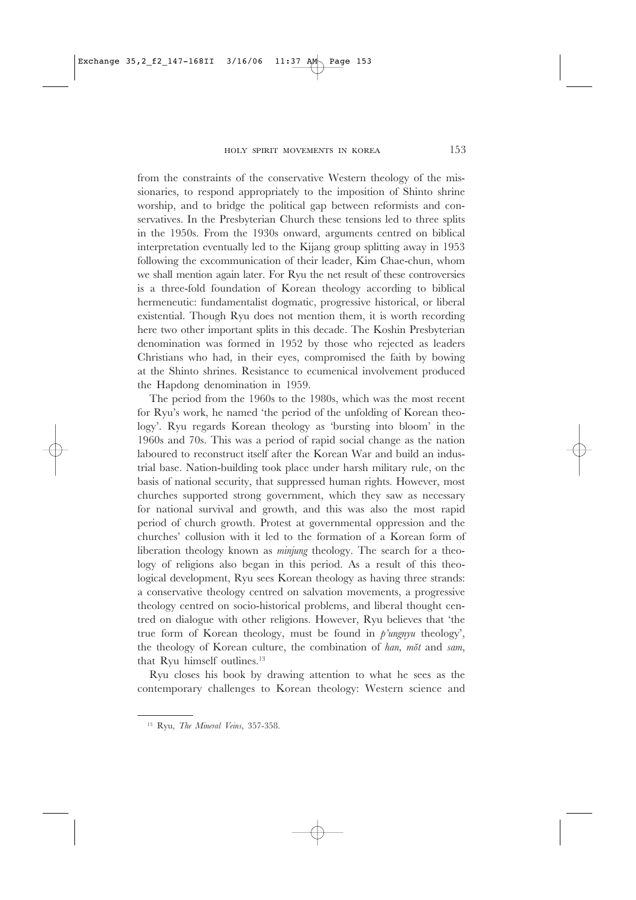from the constraints of the conservative Western theology of the missionaries, to respond appropriately to the imposition of Shinto shrine worship, and to bridge the political gap between reformists and conservatives. In the Presbyterian Church these tensions led to three splits in the 1950s. From the 1930s onward, arguments centred on biblical interpretation eventually led to the Kijang group splitting away in 1953 following the excommunication of their leader, Kim Chae-chun, whom we shall mention again later. For Ryu the net result of these controversies is a three-fold foundation of Korean theology according to biblical hermeneutic: fundamentalist dogmatic, progressive historical, or liberal existential. Though Ryu does not mention them, it is worth recording here two other important splits in this decade. The Koshin Presbyterian denomination was formed in 1952 by those who rejected as leaders Christians who had, in their eyes, compromised the faith by bowing at the Shinto shrines. Resistance to ecumenical involvement produced the Hapdong denomination in 1959.

The period from the 1960s to the 1980s, which was the most recent for Ryu's work, he named 'the period of the unfolding of Korean theology'. Ryu regards Korean theology as 'bursting into bloom' in the 1960s and 70s. This was a period of rapid social change as the nation laboured to reconstruct itself after the Korean War and build an industrial base. Nation-building took place under harsh military rule, on the basis of national security, that suppressed human rights. However, most churches supported strong government, which they saw as necessary for national survival and growth, and this was also the most rapid period of church growth. Protest at governmental oppression and the churches' collusion with it led to the formation of a Korean form of liberation theology known as *miniung* theology. The search for a theology of religions also began in this period. As a result of this theological development, Ryu sees Korean theology as having three strands: a conservative theology centred on salvation movements, a progressive theology centred on socio-historical problems, and liberal thought centred on dialogue with other religions. However, Ryu believes that 'the true form of Korean theology, must be found in  $\frac{\partial^2 u}{\partial x \partial y}$  theology'. the theology of Korean culture, the combination of han, mot and sam, that Ryu himself outlines.<sup>13</sup>

Ryu closes his book by drawing attention to what he sees as the contemporary challenges to Korean theology: Western science and

<sup>&</sup>lt;sup>13</sup> Ryu, *The Mineral Veins*, 357-358.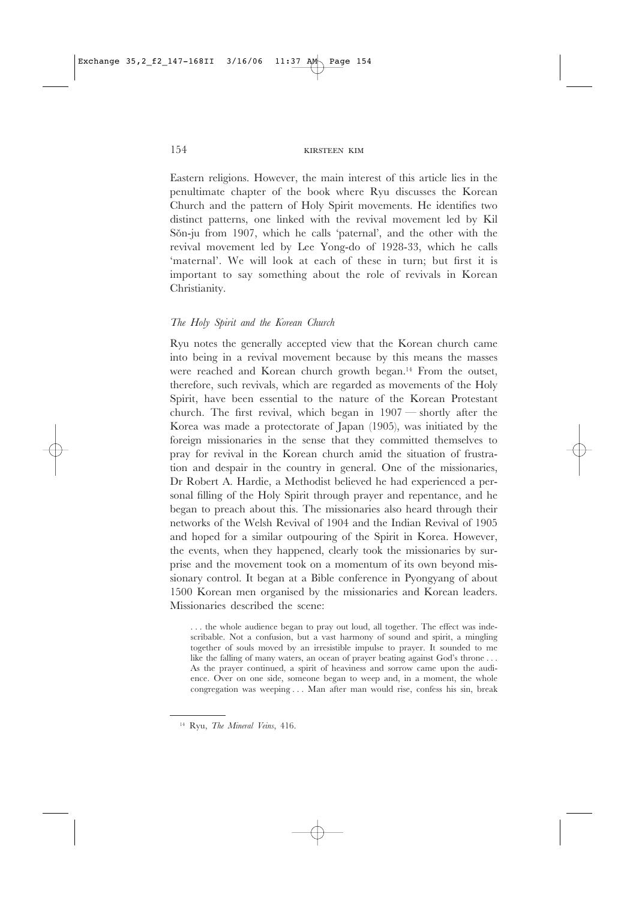Eastern religions. However, the main interest of this article lies in the penultimate chapter of the book where Ryu discusses the Korean Church and the pattern of Holy Spirit movements. He identifies two distinct patterns, one linked with the revival movement led by Kil Sǒn-ju from 1907, which he calls 'paternal', and the other with the revival movement led by Lee Yong-do of 1928-33, which he calls 'maternal'. We will look at each of these in turn; but first it is important to say something about the role of revivals in Korean Christianity.

### The Holy Spirit and the Korean Church

Ryu notes the generally accepted view that the Korean church came into being in a revival movement because by this means the masses were reached and Korean church growth began.<sup>14</sup> From the outset, therefore, such revivals, which are regarded as movements of the Holy Spirit, have been essential to the nature of the Korean Protestant church. The first revival, which began in  $1907$  - shortly after the Korea was made a protectorate of Japan (1905), was initiated by the foreign missionaries in the sense that they committed themselves to pray for revival in the Korean church amid the situation of frustration and despair in the country in general. One of the missionaries, Dr Robert A. Hardie, a Methodist believed he had experienced a personal filling of the Holy Spirit through prayer and repentance, and he began to preach about this. The missionaries also heard through their networks of the Welsh Revival of 1904 and the Indian Revival of 1905 and hoped for a similar outpouring of the Spirit in Korea. However, the events, when they happened, clearly took the missionaries by surprise and the movement took on a momentum of its own beyond missionary control. It began at a Bible conference in Pyongyang of about 1500 Korean men organised by the missionaries and Korean leaders. Missionaries described the scene:

... the whole audience began to pray out loud, all together. The effect was indescribable. Not a confusion, but a vast harmony of sound and spirit, a mingling together of souls moved by an irresistible impulse to prayer. It sounded to me like the falling of many waters, an ocean of prayer beating against God's throne... As the prayer continued, a spirit of heaviness and sorrow came upon the audience. Over on one side, someone began to weep and, in a moment, the whole congregation was weeping ... Man after man would rise, confess his sin, break

<sup>&</sup>lt;sup>14</sup> Ryu, *The Mineral Veins*, 416.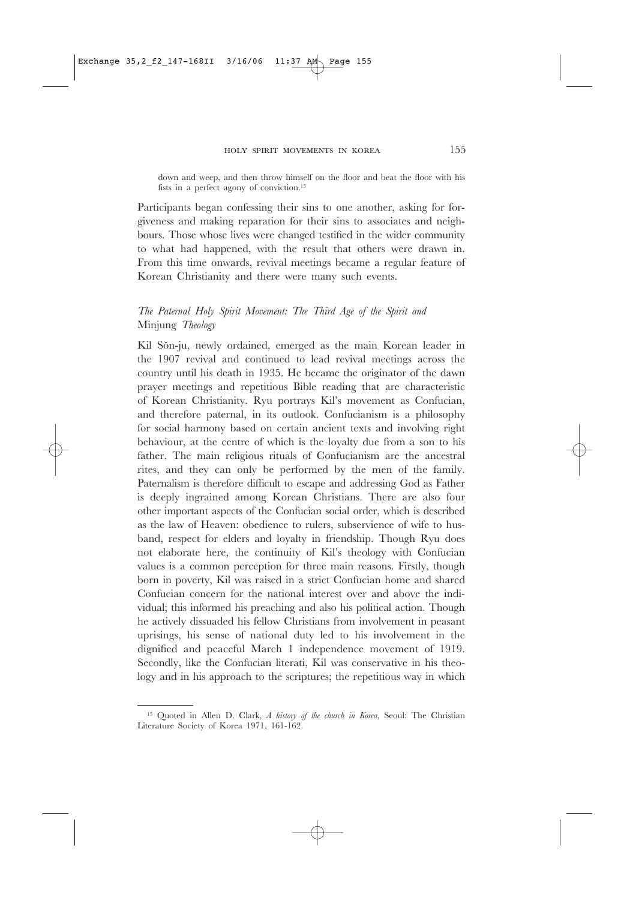down and weep, and then throw himself on the floor and beat the floor with his fists in a perfect agony of conviction.<sup>15</sup>

Participants began confessing their sins to one another, asking for forgiveness and making reparation for their sins to associates and neighbours. Those whose lives were changed testified in the wider community to what had happened, with the result that others were drawn in. From this time onwards, revival meetings became a regular feature of Korean Christianity and there were many such events.

# The Paternal Holy Spirit Movement: The Third Age of the Spirit and Minjung Theology

Kil Sŏn-ju, newly ordained, emerged as the main Korean leader in the 1907 revival and continued to lead revival meetings across the country until his death in 1935. He became the originator of the dawn prayer meetings and repetitious Bible reading that are characteristic of Korean Christianity. Ryu portrays Kil's movement as Confucian, and therefore paternal, in its outlook. Confucianism is a philosophy for social harmony based on certain ancient texts and involving right behaviour, at the centre of which is the lovalty due from a son to his father. The main religious rituals of Confucianism are the ancestral rites, and they can only be performed by the men of the family. Paternalism is therefore difficult to escape and addressing God as Father is deeply ingrained among Korean Christians. There are also four other important aspects of the Confucian social order, which is described as the law of Heaven: obedience to rulers, subservience of wife to husband, respect for elders and loyalty in friendship. Though Ryu does not elaborate here, the continuity of Kil's theology with Confucian values is a common perception for three main reasons. Firstly, though born in poverty, Kil was raised in a strict Confucian home and shared Confucian concern for the national interest over and above the individual; this informed his preaching and also his political action. Though he actively dissuaded his fellow Christians from involvement in peasant uprisings, his sense of national duty led to his involvement in the dignified and peaceful March 1 independence movement of 1919. Secondly, like the Confucian literati, Kil was conservative in his theology and in his approach to the scriptures; the repetitious way in which

<sup>&</sup>lt;sup>15</sup> Quoted in Allen D. Clark, A history of the church in Korea, Seoul: The Christian Literature Society of Korea 1971, 161-162.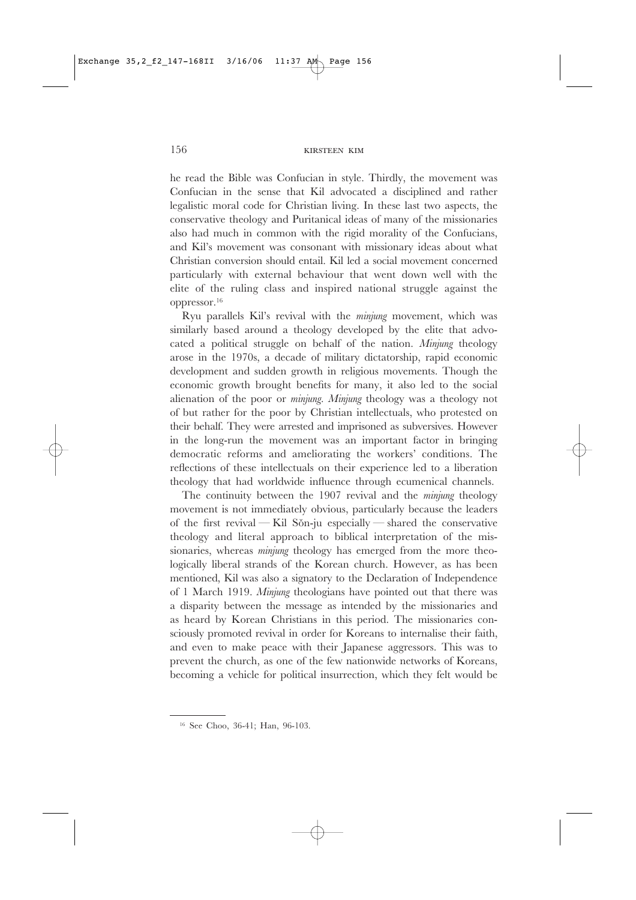he read the Bible was Confucian in style. Thirdly, the movement was Confucian in the sense that Kil advocated a disciplined and rather legalistic moral code for Christian living. In these last two aspects, the conservative theology and Puritanical ideas of many of the missionaries also had much in common with the rigid morality of the Confucians, and Kil's movement was consonant with missionary ideas about what Christian conversion should entail. Kil led a social movement concerned particularly with external behaviour that went down well with the elite of the ruling class and inspired national struggle against the oppressor. $16$ 

Ryu parallels Kil's revival with the *miniung* movement, which was similarly based around a theology developed by the elite that advocated a political struggle on behalf of the nation. Miniung theology arose in the 1970s, a decade of military dictatorship, rapid economic development and sudden growth in religious movements. Though the economic growth brought benefits for many, it also led to the social alienation of the poor or *miniung. Miniung* theology was a theology not of but rather for the poor by Christian intellectuals, who protested on their behalf. They were arrested and imprisoned as subversives. However in the long-run the movement was an important factor in bringing democratic reforms and ameliorating the workers' conditions. The reflections of these intellectuals on their experience led to a liberation theology that had worldwide influence through ecumenical channels.

The continuity between the 1907 revival and the *miniung* theology movement is not immediately obvious, particularly because the leaders of the first revival - Kil Son-ju especially - shared the conservative theology and literal approach to biblical interpretation of the missionaries, whereas *minjung* theology has emerged from the more theologically liberal strands of the Korean church. However, as has been mentioned, Kil was also a signatory to the Declaration of Independence of 1 March 1919. Minjung theologians have pointed out that there was a disparity between the message as intended by the missionaries and as heard by Korean Christians in this period. The missionaries consciously promoted revival in order for Koreans to internalise their faith, and even to make peace with their Japanese aggressors. This was to prevent the church, as one of the few nationwide networks of Koreans, becoming a vehicle for political insurrection, which they felt would be

<sup>&</sup>lt;sup>16</sup> See Choo, 36-41; Han, 96-103.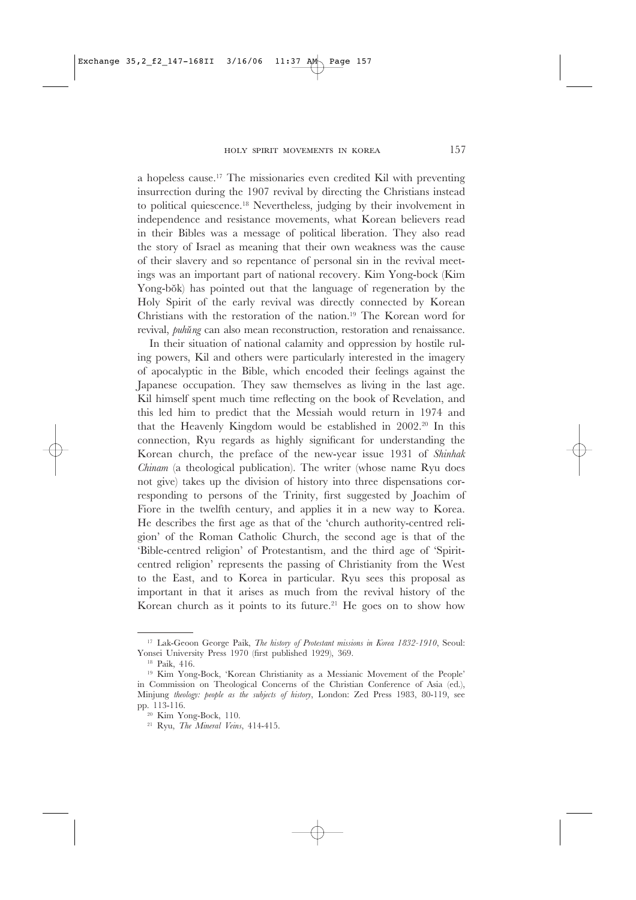a hopeless cause.<sup>17</sup> The missionaries even credited Kil with preventing insurrection during the 1907 revival by directing the Christians instead to political quiescence.<sup>18</sup> Nevertheless, judging by their involvement in independence and resistance movements, what Korean believers read in their Bibles was a message of political liberation. They also read the story of Israel as meaning that their own weakness was the cause of their slavery and so repentance of personal sin in the revival meetings was an important part of national recovery. Kim Yong-bock (Kim Yong-bŏk) has pointed out that the language of regeneration by the Holy Spirit of the early revival was directly connected by Korean Christians with the restoration of the nation.<sup>19</sup> The Korean word for revival, puhung can also mean reconstruction, restoration and renaissance.

In their situation of national calamity and oppression by hostile ruling powers, Kil and others were particularly interested in the imagery of apocalyptic in the Bible, which encoded their feelings against the Japanese occupation. They saw themselves as living in the last age. Kil himself spent much time reflecting on the book of Revelation, and this led him to predict that the Messiah would return in 1974 and that the Heavenly Kingdom would be established in 2002.<sup>20</sup> In this connection, Ryu regards as highly significant for understanding the Korean church, the preface of the new-year issue 1931 of Shinhak Chinam (a theological publication). The writer (whose name Ryu does not give) takes up the division of history into three dispensations corresponding to persons of the Trinity, first suggested by Joachim of Fiore in the twelfth century, and applies it in a new way to Korea. He describes the first age as that of the 'church authority-centred religion' of the Roman Catholic Church, the second age is that of the 'Bible-centred religion' of Protestantism, and the third age of 'Spiritcentred religion' represents the passing of Christianity from the West to the East, and to Korea in particular. Ryu sees this proposal as important in that it arises as much from the revival history of the Korean church as it points to its future.<sup>21</sup> He goes on to show how

<sup>&</sup>lt;sup>17</sup> Lak-Geoon George Paik, *The history of Protestant missions in Korea 1832-1910*, Seoul: Yonsei University Press 1970 (first published 1929), 369.

<sup>&</sup>lt;sup>18</sup> Paik, 416.

<sup>&</sup>lt;sup>19</sup> Kim Yong-Bock, 'Korean Christianity as a Messianic Movement of the People' in Commission on Theological Concerns of the Christian Conference of Asia (ed.), Minjung theology: people as the subjects of history, London: Zed Press 1983, 80-119, see pp. 113-116.

<sup>&</sup>lt;sup>20</sup> Kim Yong-Bock, 110.

<sup>&</sup>lt;sup>21</sup> Ryu, *The Mineral Veins*, 414-415.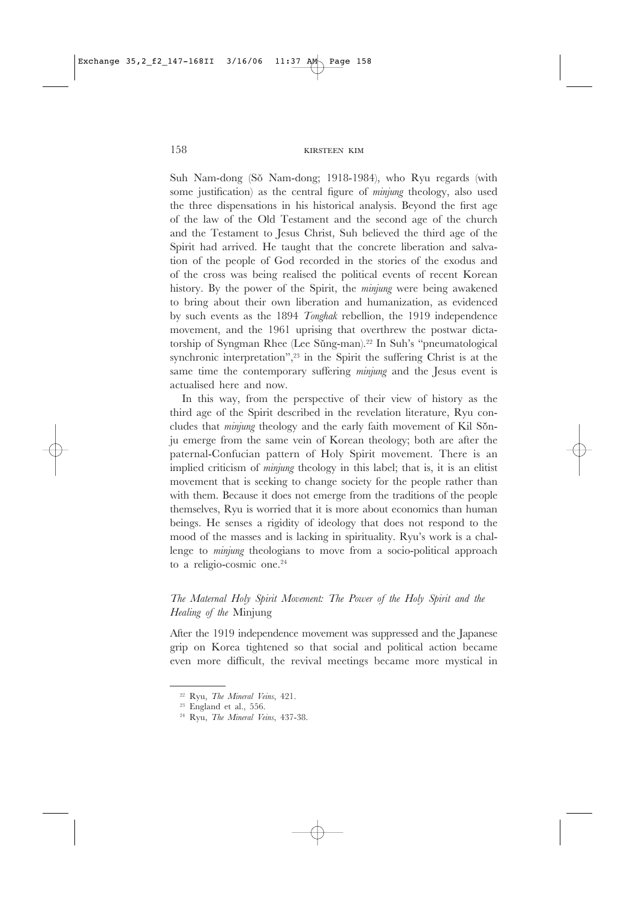Suh Nam-dong (Sŏ Nam-dong; 1918-1984), who Ryu regards (with some justification) as the central figure of *minjung* theology, also used the three dispensations in his historical analysis. Beyond the first age of the law of the Old Testament and the second age of the church and the Testament to Jesus Christ, Suh believed the third age of the Spirit had arrived. He taught that the concrete liberation and salvation of the people of God recorded in the stories of the exodus and of the cross was being realised the political events of recent Korean history. By the power of the Spirit, the *minjung* were being awakened to bring about their own liberation and humanization, as evidenced by such events as the 1894 Tonghak rebellion, the 1919 independence movement, and the 1961 uprising that overthrew the postwar dictatorship of Syngman Rhee (Lee Sung-man).<sup>22</sup> In Suh's "pneumatological synchronic interpretation",<sup>23</sup> in the Spirit the suffering Christ is at the same time the contemporary suffering minjung and the Jesus event is actualised here and now

In this way, from the perspective of their view of history as the third age of the Spirit described in the revelation literature, Ryu concludes that minjung theology and the early faith movement of Kil Sŏnju emerge from the same vein of Korean theology; both are after the paternal-Confucian pattern of Holy Spirit movement. There is an implied criticism of *miniung* theology in this label; that is, it is an elitist movement that is seeking to change society for the people rather than with them. Because it does not emerge from the traditions of the people themselves, Ryu is worried that it is more about economics than human beings. He senses a rigidity of ideology that does not respond to the mood of the masses and is lacking in spirituality. Ryu's work is a challenge to *minjung* theologians to move from a socio-political approach to a religio-cosmic one. $24$ 

# The Maternal Holy Spirit Movement: The Power of the Holy Spirit and the Healing of the Minjung

After the 1919 independence movement was suppressed and the Japanese grip on Korea tightened so that social and political action became even more difficult, the revival meetings became more mystical in

<sup>&</sup>lt;sup>22</sup> Ryu, *The Mineral Veins*, 421.

<sup>&</sup>lt;sup>23</sup> England et al., 556.

<sup>&</sup>lt;sup>24</sup> Ryu, *The Mineral Veins*, 437-38.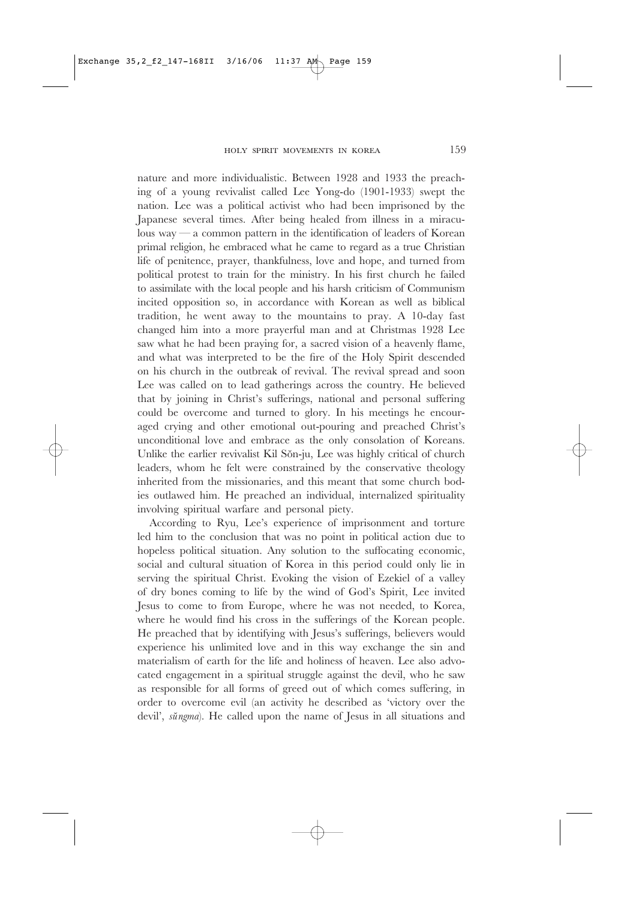nature and more individualistic. Between 1928 and 1933 the preaching of a young revivalist called Lee Yong-do (1901-1933) swept the nation. Lee was a political activist who had been imprisoned by the Japanese several times. After being healed from illness in a miracu- $\frac{5}{1}$  lous way — a common pattern in the identification of leaders of Korean primal religion, he embraced what he came to regard as a true Christian life of penitence, prayer, thankfulness, love and hope, and turned from political protest to train for the ministry. In his first church he failed to assimilate with the local people and his harsh criticism of Communism incited opposition so, in accordance with Korean as well as biblical tradition, he went away to the mountains to pray. A 10-day fast changed him into a more prayerful man and at Christmas 1928 Lee saw what he had been praying for, a sacred vision of a heavenly flame, and what was interpreted to be the fire of the Holy Spirit descended on his church in the outbreak of revival. The revival spread and soon Lee was called on to lead gatherings across the country. He believed that by joining in Christ's sufferings, national and personal suffering could be overcome and turned to glory. In his meetings he encouraged crying and other emotional out-pouring and preached Christ's unconditional love and embrace as the only consolation of Koreans. Unlike the earlier revivalist Kil Sŏn-ju, Lee was highly critical of church leaders, whom he felt were constrained by the conservative theology inherited from the missionaries, and this meant that some church bodies outlawed him. He preached an individual, internalized spirituality involving spiritual warfare and personal piety.

According to Ryu, Lee's experience of imprisonment and torture led him to the conclusion that was no point in political action due to hopeless political situation. Any solution to the suffocating economic, social and cultural situation of Korea in this period could only lie in serving the spiritual Christ. Evoking the vision of Ezekiel of a valley of dry bones coming to life by the wind of God's Spirit, Lee invited Jesus to come to from Europe, where he was not needed, to Korea, where he would find his cross in the sufferings of the Korean people. He preached that by identifying with Jesus's sufferings, believers would experience his unlimited love and in this way exchange the sin and materialism of earth for the life and holiness of heaven. Lee also advocated engagement in a spiritual struggle against the devil, who he saw as responsible for all forms of greed out of which comes suffering, in order to overcome evil (an activity he described as 'victory over the devil', sŭngma). He called upon the name of Jesus in all situations and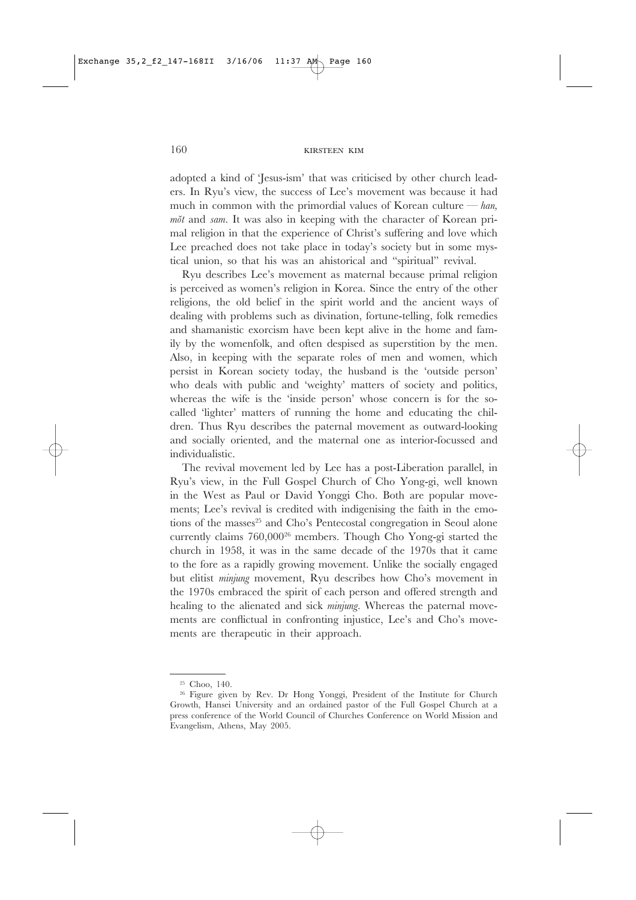adopted a kind of 'Jesus-ism' that was criticised by other church leaders. In Ryu's view, the success of Lee's movement was because it had much in common with the primordial values of Korean culture  $-$  han, *mot* and *sam*. It was also in keeping with the character of Korean primal religion in that the experience of Christ's suffering and love which Lee preached does not take place in today's society but in some mystical union, so that his was an ahistorical and "spiritual" revival.

Ryu describes Lee's movement as maternal because primal religion is perceived as women's religion in Korea. Since the entry of the other religions, the old belief in the spirit world and the ancient ways of dealing with problems such as divination, fortune-telling, folk remedies and shamanistic exorcism have been kept alive in the home and family by the womenfolk, and often despised as superstition by the men. Also, in keeping with the separate roles of men and women, which persist in Korean society today, the husband is the 'outside person' who deals with public and 'weighty' matters of society and politics, whereas the wife is the 'inside person' whose concern is for the socalled 'lighter' matters of running the home and educating the children. Thus Ryu describes the paternal movement as outward-looking and socially oriented, and the maternal one as interior-focussed and individualistic.

The revival movement led by Lee has a post-Liberation parallel, in Ryu's view, in the Full Gospel Church of Cho Yong-gi, well known in the West as Paul or David Yonggi Cho. Both are popular movements; Lee's revival is credited with indigenising the faith in the emotions of the masses<sup>25</sup> and Cho's Pentecostal congregation in Seoul alone currently claims 760,000<sup>26</sup> members. Though Cho Yong-gi started the church in 1958, it was in the same decade of the 1970s that it came to the fore as a rapidly growing movement. Unlike the socially engaged but elitist *minjung* movement, Ryu describes how Cho's movement in the 1970s embraced the spirit of each person and offered strength and healing to the alienated and sick *miniung*. Whereas the paternal movements are conflictual in confronting injustice, Lee's and Cho's movements are therapeutic in their approach.

<sup>&</sup>lt;sup>25</sup> Choo, 140.

<sup>&</sup>lt;sup>26</sup> Figure given by Rev. Dr Hong Yonggi, President of the Institute for Church Growth, Hansei University and an ordained pastor of the Full Gospel Church at a press conference of the World Council of Churches Conference on World Mission and Evangelism, Athens, May 2005.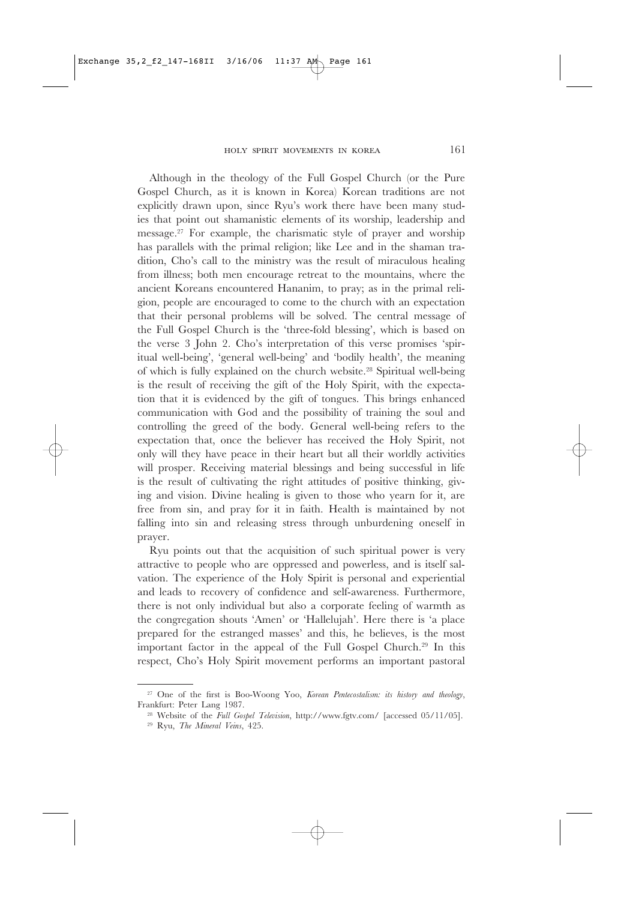Although in the theology of the Full Gospel Church (or the Pure Gospel Church, as it is known in Korea) Korean traditions are not explicitly drawn upon, since Ryu's work there have been many studies that point out shamanistic elements of its worship, leadership and message.<sup>27</sup> For example, the charismatic style of prayer and worship has parallels with the primal religion; like Lee and in the shaman tradition, Cho's call to the ministry was the result of miraculous healing from illness; both men encourage retreat to the mountains, where the ancient Koreans encountered Hananim, to pray; as in the primal religion, people are encouraged to come to the church with an expectation that their personal problems will be solved. The central message of the Full Gospel Church is the 'three-fold blessing', which is based on the verse 3 John 2. Cho's interpretation of this verse promises 'spiritual well-being', 'general well-being' and 'bodily health', the meaning of which is fully explained on the church website.<sup>28</sup> Spiritual well-being is the result of receiving the gift of the Holy Spirit, with the expectation that it is evidenced by the gift of tongues. This brings enhanced communication with God and the possibility of training the soul and controlling the greed of the body. General well-being refers to the expectation that, once the believer has received the Holy Spirit, not only will they have peace in their heart but all their worldly activities will prosper. Receiving material blessings and being successful in life is the result of cultivating the right attitudes of positive thinking, giving and vision. Divine healing is given to those who yearn for it, are free from sin, and pray for it in faith. Health is maintained by not falling into sin and releasing stress through unburdening oneself in prayer.

Ryu points out that the acquisition of such spiritual power is very attractive to people who are oppressed and powerless, and is itself salvation. The experience of the Holy Spirit is personal and experiential and leads to recovery of confidence and self-awareness. Furthermore, there is not only individual but also a corporate feeling of warmth as the congregation shouts 'Amen' or 'Hallelujah'. Here there is 'a place prepared for the estranged masses' and this, he believes, is the most important factor in the appeal of the Full Gospel Church.<sup>29</sup> In this respect, Cho's Holy Spirit movement performs an important pastoral

<sup>&</sup>lt;sup>27</sup> One of the first is Boo-Woong Yoo, Korean Pentecostalism: its history and theology, Frankfurt: Peter Lang 1987.

<sup>&</sup>lt;sup>28</sup> Website of the Full Gospel Television, http://www.fgtv.com/ [accessed 05/11/05].

<sup>&</sup>lt;sup>29</sup> Ryu, *The Mineral Veins*, 425.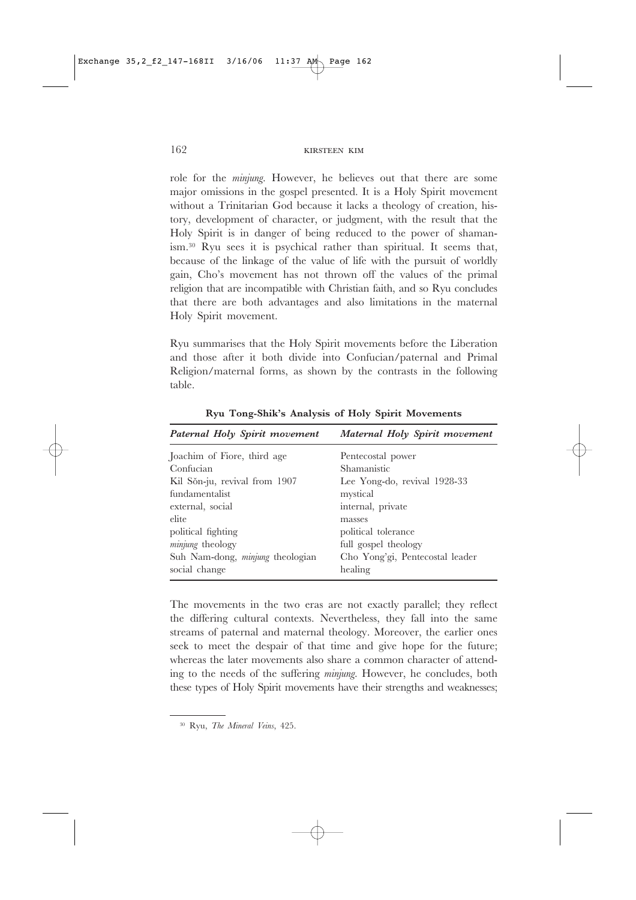role for the *minjung*. However, he believes out that there are some major omissions in the gospel presented. It is a Holy Spirit movement without a Trinitarian God because it lacks a theology of creation, history, development of character, or judgment, with the result that the Holy Spirit is in danger of being reduced to the power of shamanism.<sup>30</sup> Ryu sees it is psychical rather than spiritual. It seems that, because of the linkage of the value of life with the pursuit of worldly gain, Cho's movement has not thrown off the values of the primal religion that are incompatible with Christian faith, and so Ryu concludes that there are both advantages and also limitations in the maternal Holy Spirit movement.

Ryu summarises that the Holy Spirit movements before the Liberation and those after it both divide into Confucian/paternal and Primal Religion/maternal forms, as shown by the contrasts in the following table

| Paternal Holy Spirit movement                            | Maternal Holy Spirit movement              |
|----------------------------------------------------------|--------------------------------------------|
| Joachim of Fiore, third age                              | Pentecostal power                          |
| Confucian                                                | Shamanistic                                |
| Kil Sŏn-ju, revival from 1907                            | Lee Yong-do, revival 1928-33               |
| fundamentalist                                           | mystical                                   |
| external, social                                         | internal, private                          |
| elite                                                    | masses                                     |
| political fighting                                       | political tolerance                        |
| <i>minjung</i> theology                                  | full gospel theology                       |
| Suh Nam-dong, <i>minjung</i> theologian<br>social change | Cho Yong'gi, Pentecostal leader<br>healing |

Ryu Tong-Shik's Analysis of Holy Spirit Movements

The movements in the two eras are not exactly parallel; they reflect the differing cultural contexts. Nevertheless, they fall into the same streams of paternal and maternal theology. Moreover, the earlier ones seek to meet the despair of that time and give hope for the future; whereas the later movements also share a common character of attending to the needs of the suffering minjung. However, he concludes, both these types of Holy Spirit movements have their strengths and weaknesses;

<sup>&</sup>lt;sup>30</sup> Ryu, *The Mineral Veins*, 425.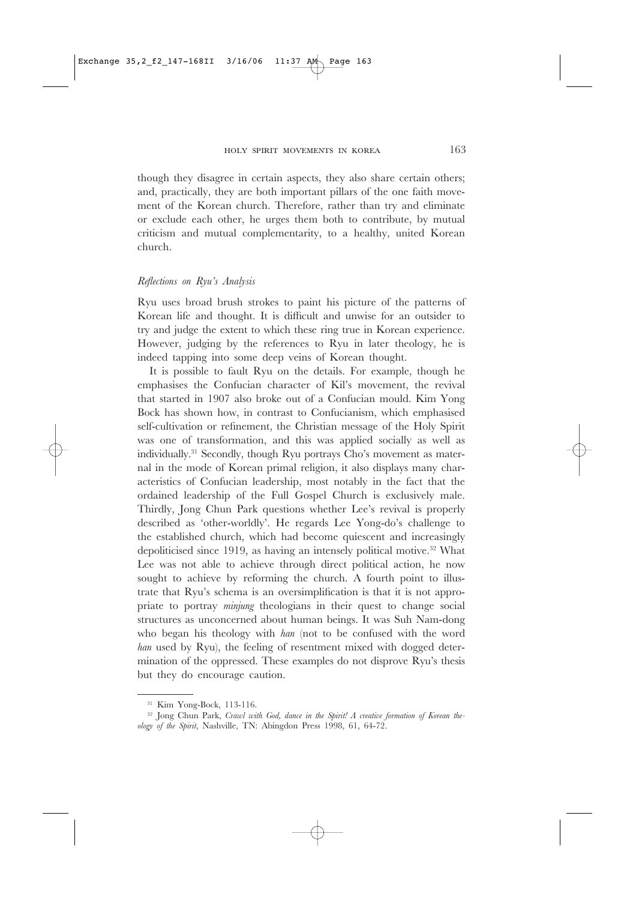though they disagree in certain aspects, they also share certain others; and, practically, they are both important pillars of the one faith movement of the Korean church. Therefore, rather than try and eliminate or exclude each other, he urges them both to contribute, by mutual criticism and mutual complementarity, to a healthy, united Korean church

### Reflections on Ryu's Analysis

Ryu uses broad brush strokes to paint his picture of the patterns of Korean life and thought. It is difficult and unwise for an outsider to try and judge the extent to which these ring true in Korean experience. However, judging by the references to Ryu in later theology, he is indeed tapping into some deep veins of Korean thought.

It is possible to fault Ryu on the details. For example, though he emphasises the Confucian character of Kil's movement, the revival that started in 1907 also broke out of a Confucian mould. Kim Yong Bock has shown how, in contrast to Confucianism, which emphasised self-cultivation or refinement, the Christian message of the Holy Spirit was one of transformation, and this was applied socially as well as individually.<sup>31</sup> Secondly, though Ryu portrays Cho's movement as maternal in the mode of Korean primal religion, it also displays many characteristics of Confucian leadership, most notably in the fact that the ordained leadership of the Full Gospel Church is exclusively male. Thirdly, Jong Chun Park questions whether Lee's revival is properly described as 'other-worldly'. He regards Lee Yong-do's challenge to the established church, which had become quiescent and increasingly depoliticised since 1919, as having an intensely political motive.<sup>32</sup> What Lee was not able to achieve through direct political action, he now sought to achieve by reforming the church. A fourth point to illustrate that Ryu's schema is an oversimplification is that it is not appropriate to portray *miniung* theologians in their quest to change social structures as unconcerned about human beings. It was Suh Nam-dong who began his theology with han (not to be confused with the word han used by Ryu), the feeling of resentment mixed with dogged determination of the oppressed. These examples do not disprove Ryu's thesis but they do encourage caution.

<sup>&</sup>lt;sup>31</sup> Kim Yong-Bock, 113-116.

<sup>&</sup>lt;sup>32</sup> Jong Chun Park, Crawl with God, dance in the Spirit! A creative formation of Korean theology of the Spirit, Nashville, TN: Abingdon Press 1998, 61, 64-72.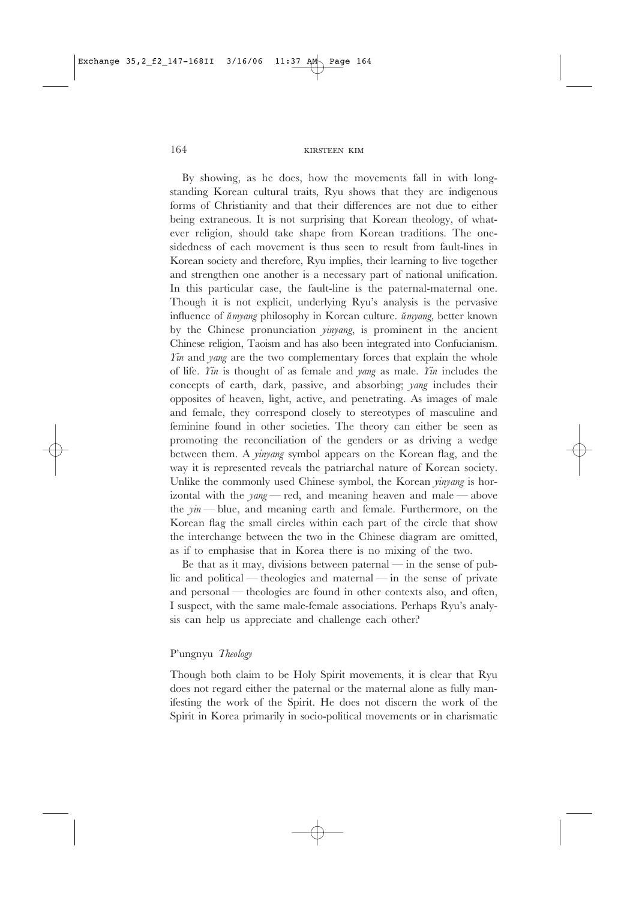By showing, as he does, how the movements fall in with longstanding Korean cultural traits, Ryu shows that they are indigenous forms of Christianity and that their differences are not due to either being extraneous. It is not surprising that Korean theology, of whatever religion, should take shape from Korean traditions. The onesidedness of each movement is thus seen to result from fault-lines in Korean society and therefore, Ryu implies, their learning to live together and strengthen one another is a necessary part of national unification. In this particular case, the fault-line is the paternal-maternal one. Though it is not explicit, underlying Ryu's analysis is the pervasive influence of *ŭmyang* philosophy in Korean culture. *ŭmyang*, better known by the Chinese pronunciation *yinyang*, is prominent in the ancient Chinese religion, Taoism and has also been integrated into Confucianism.  $\hat{I}$  and *yang* are the two complementary forces that explain the whole of life.  $\hat{Tm}$  is thought of as female and *yang* as male.  $\hat{Tm}$  includes the concepts of earth, dark, passive, and absorbing; *yang* includes their opposites of heaven, light, active, and penetrating. As images of male and female, they correspond closely to stereotypes of masculine and feminine found in other societies. The theory can either be seen as promoting the reconciliation of the genders or as driving a wedge between them. A *yinyang* symbol appears on the Korean flag, and the way it is represented reveals the patriarchal nature of Korean society. Unlike the commonly used Chinese symbol, the Korean *yinyang* is horizontal with the  $\gamma$ ang — red, and meaning heaven and male — above the  $\gamma$ *in* — blue, and meaning earth and female. Furthermore, on the Korean flag the small circles within each part of the circle that show the interchange between the two in the Chinese diagram are omitted, as if to emphasise that in Korea there is no mixing of the two.

Be that as it may, divisions between paternal — in the sense of pub $lic$  and political — theologies and maternal — in the sense of private and personal — theologies are found in other contexts also, and often, I suspect, with the same male-female associations. Perhaps Ryu's analysis can help us appreciate and challenge each other?

# P'ungnyu Theology

Though both claim to be Holy Spirit movements, it is clear that Ryu does not regard either the paternal or the maternal alone as fully manifesting the work of the Spirit. He does not discern the work of the Spirit in Korea primarily in socio-political movements or in charismatic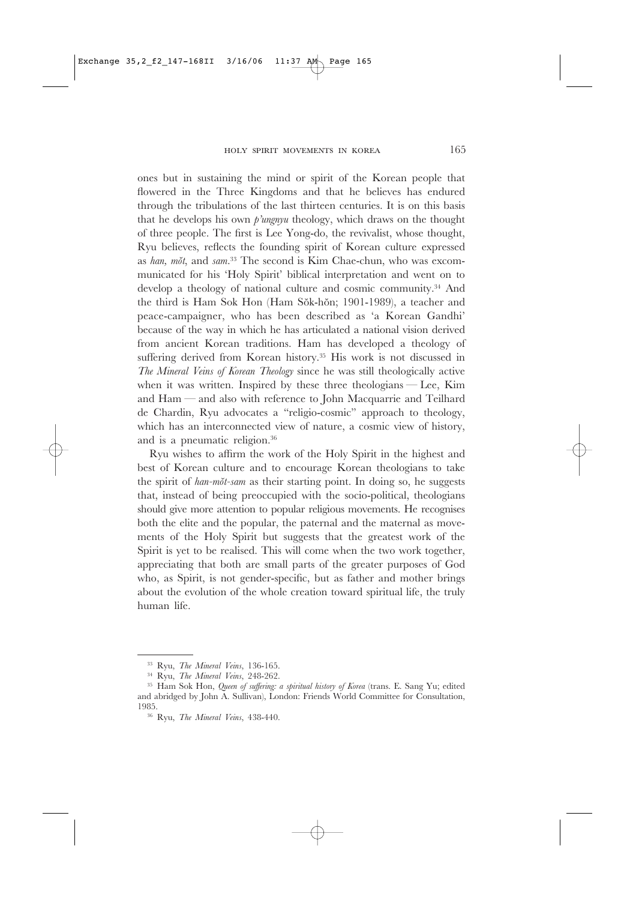ones but in sustaining the mind or spirit of the Korean people that flowered in the Three Kingdoms and that he believes has endured through the tribulations of the last thirteen centuries. It is on this basis that he develops his own  $\hat{p}$  ingnyu theology, which draws on the thought of three people. The first is Lee Yong-do, the revivalist, whose thought, Ryu believes, reflects the founding spirit of Korean culture expressed as han, mot, and sam.<sup>33</sup> The second is Kim Chae-chun, who was excommunicated for his 'Holy Spirit' biblical interpretation and went on to develop a theology of national culture and cosmic community.<sup>34</sup> And the third is Ham Sok Hon (Ham Sŏk-hŏn; 1901-1989), a teacher and peace-campaigner, who has been described as 'a Korean Gandhi' because of the way in which he has articulated a national vision derived from ancient Korean traditions. Ham has developed a theology of suffering derived from Korean history.<sup>35</sup> His work is not discussed in The Mineral Veins of Korean Theology since he was still theologically active when it was written. Inspired by these three theologians  $\rightharpoonup$  Lee, Kim and Ham - and also with reference to John Macquarrie and Teilhard de Chardin, Ryu advocates a "religio-cosmic" approach to theology, which has an interconnected view of nature, a cosmic view of history, and is a pneumatic religion.<sup>36</sup>

Ryu wishes to affirm the work of the Holy Spirit in the highest and best of Korean culture and to encourage Korean theologians to take the spirit of han-mot-sam as their starting point. In doing so, he suggests that, instead of being preoccupied with the socio-political, theologians should give more attention to popular religious movements. He recognises both the elite and the popular, the paternal and the maternal as movements of the Holy Spirit but suggests that the greatest work of the Spirit is yet to be realised. This will come when the two work together, appreciating that both are small parts of the greater purposes of God who, as Spirit, is not gender-specific, but as father and mother brings about the evolution of the whole creation toward spiritual life, the truly human life

<sup>&</sup>lt;sup>33</sup> Ryu, *The Mineral Veins*, 136-165.

<sup>&</sup>lt;sup>34</sup> Ryu. *The Mineral Veins*, 248-262.

<sup>&</sup>lt;sup>35</sup> Ham Sok Hon, *Queen of suffering: a spiritual history of Korea* (trans. E. Sang Yu; edited and abridged by John A. Sullivan), London: Friends World Committee for Consultation, 1985.

<sup>&</sup>lt;sup>36</sup> Ryu, *The Mineral Veins*, 438-440.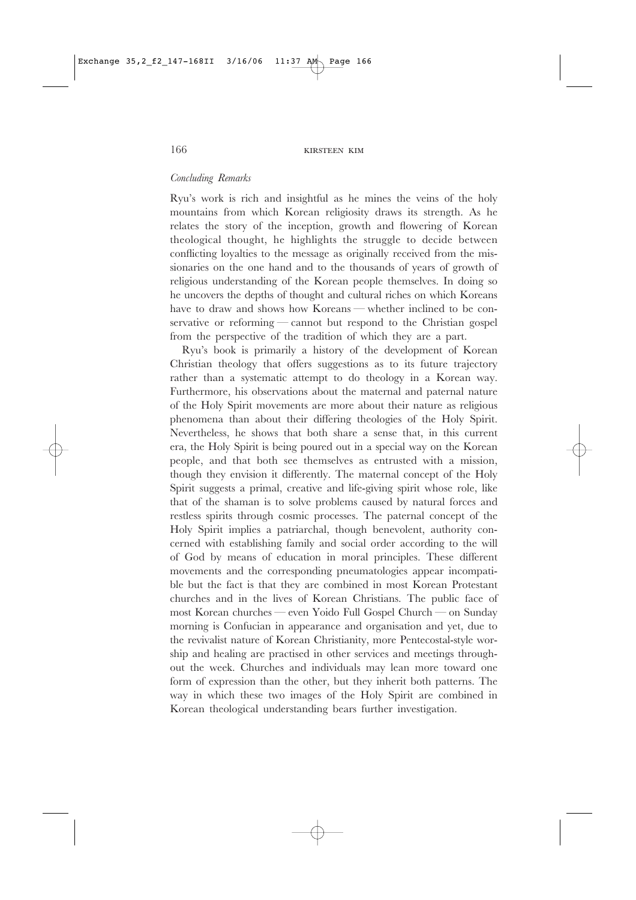### **Concluding Remarks**

Ryu's work is rich and insightful as he mines the veins of the holy mountains from which Korean religiosity draws its strength. As he relates the story of the inception, growth and flowering of Korean theological thought, he highlights the struggle to decide between conflicting loyalties to the message as originally received from the missionaries on the one hand and to the thousands of years of growth of religious understanding of the Korean people themselves. In doing so he uncovers the depths of thought and cultural riches on which Koreans have to draw and shows how Koreans — whether inclined to be conservative or reforming — cannot but respond to the Christian gospel from the perspective of the tradition of which they are a part.

Ryu's book is primarily a history of the development of Korean Christian theology that offers suggestions as to its future trajectory rather than a systematic attempt to do theology in a Korean way. Furthermore, his observations about the maternal and paternal nature of the Holy Spirit movements are more about their nature as religious phenomena than about their differing theologies of the Holy Spirit. Nevertheless, he shows that both share a sense that, in this current era, the Holy Spirit is being poured out in a special way on the Korean people, and that both see themselves as entrusted with a mission, though they envision it differently. The maternal concept of the Holy Spirit suggests a primal, creative and life-giving spirit whose role, like that of the shaman is to solve problems caused by natural forces and restless spirits through cosmic processes. The paternal concept of the Holy Spirit implies a patriarchal, though benevolent, authority concerned with establishing family and social order according to the will of God by means of education in moral principles. These different movements and the corresponding pneumatologies appear incompatible but the fact is that they are combined in most Korean Protestant churches and in the lives of Korean Christians. The public face of most Korean churches - even Yoido Full Gospel Church - on Sunday morning is Confucian in appearance and organisation and yet, due to the revivalist nature of Korean Christianity, more Pentecostal-style worship and healing are practised in other services and meetings throughout the week. Churches and individuals may lean more toward one form of expression than the other, but they inherit both patterns. The way in which these two images of the Holy Spirit are combined in Korean theological understanding bears further investigation.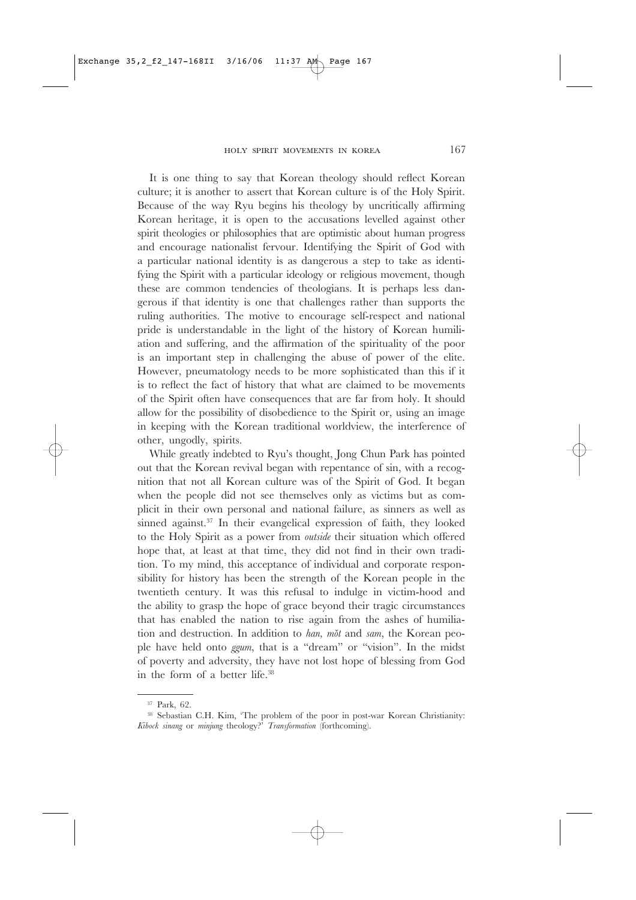It is one thing to say that Korean theology should reflect Korean culture; it is another to assert that Korean culture is of the Holy Spirit. Because of the way Ryu begins his theology by uncritically affirming Korean heritage, it is open to the accusations levelled against other spirit theologies or philosophies that are optimistic about human progress and encourage nationalist fervour. Identifying the Spirit of God with a particular national identity is as dangerous a step to take as identifying the Spirit with a particular ideology or religious movement, though these are common tendencies of theologians. It is perhaps less dangerous if that identity is one that challenges rather than supports the ruling authorities. The motive to encourage self-respect and national pride is understandable in the light of the history of Korean humiliation and suffering, and the affirmation of the spirituality of the poor is an important step in challenging the abuse of power of the elite. However, pneumatology needs to be more sophisticated than this if it is to reflect the fact of history that what are claimed to be movements of the Spirit often have consequences that are far from holy. It should allow for the possibility of disobedience to the Spirit or, using an image in keeping with the Korean traditional worldview, the interference of other, ungodly, spirits.

While greatly indebted to Ryu's thought, Jong Chun Park has pointed out that the Korean revival began with repentance of sin, with a recognition that not all Korean culture was of the Spirit of God. It began when the people did not see themselves only as victims but as complicit in their own personal and national failure, as sinners as well as sinned against.<sup>37</sup> In their evangelical expression of faith, they looked to the Holy Spirit as a power from *outside* their situation which offered hope that, at least at that time, they did not find in their own tradition. To my mind, this acceptance of individual and corporate responsibility for history has been the strength of the Korean people in the twentieth century. It was this refusal to indulge in victim-hood and the ability to grasp the hope of grace beyond their tragic circumstances that has enabled the nation to rise again from the ashes of humiliation and destruction. In addition to han, mot and sam, the Korean people have held onto *ggum*, that is a "dream" or "vision". In the midst of poverty and adversity, they have not lost hope of blessing from God in the form of a better life 38

<sup>&</sup>lt;sup>37</sup> Park, 62.

<sup>&</sup>lt;sup>38</sup> Sebastian C.H. Kim, 'The problem of the poor in post-war Korean Christianity:<br>*Kibock sinang* or *minjung* theology?' *Transformation* (forthcoming).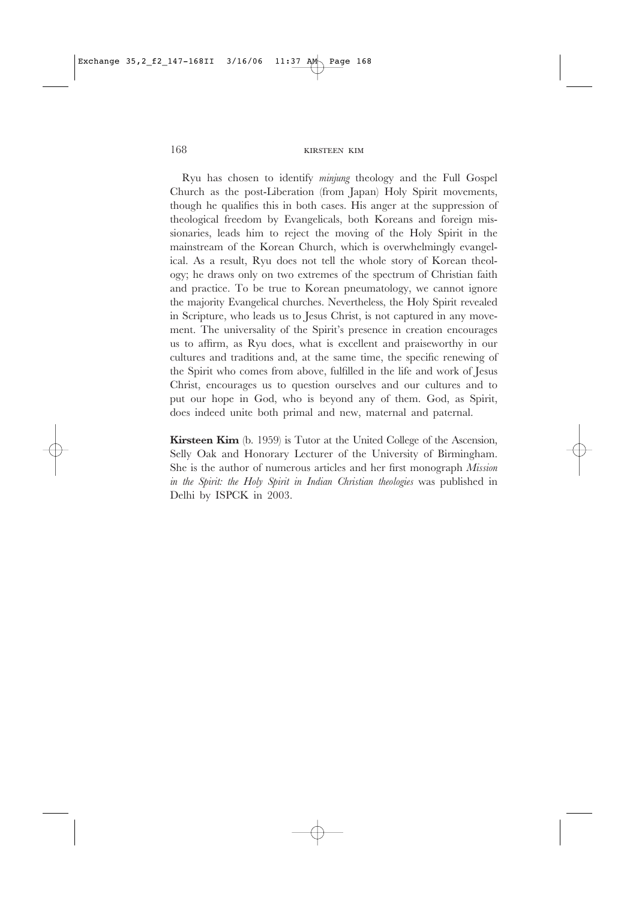Ryu has chosen to identify *minjung* theology and the Full Gospel Church as the post-Liberation (from Japan) Holy Spirit movements, though he qualifies this in both cases. His anger at the suppression of theological freedom by Evangelicals, both Koreans and foreign missionaries, leads him to reject the moving of the Holy Spirit in the mainstream of the Korean Church, which is overwhelmingly evangelical. As a result, Ryu does not tell the whole story of Korean theology; he draws only on two extremes of the spectrum of Christian faith and practice. To be true to Korean pneumatology, we cannot ignore the majority Evangelical churches. Nevertheless, the Holy Spirit revealed in Scripture, who leads us to Jesus Christ, is not captured in any movement. The universality of the Spirit's presence in creation encourages us to affirm, as Ryu does, what is excellent and praiseworthy in our cultures and traditions and, at the same time, the specific renewing of the Spirit who comes from above, fulfilled in the life and work of Jesus Christ, encourages us to question ourselves and our cultures and to put our hope in God, who is beyond any of them. God, as Spirit, does indeed unite both primal and new, maternal and paternal.

Kirsteen Kim (b. 1959) is Tutor at the United College of the Ascension, Selly Oak and Honorary Lecturer of the University of Birmingham. She is the author of numerous articles and her first monograph Mission in the Spirit: the Holy Spirit in Indian Christian theologies was published in Delhi by ISPCK in 2003.